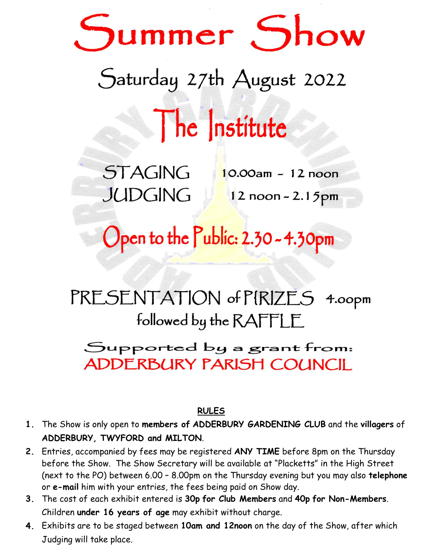# Summer Show

# Saturday 27th August 2022

The Institute

**STAGING JUDGING** 

 $10.00am - 12 noon$ 12 noon - 2.15pm

Open to the Public: 2.30 - 4.30pm

## PRESENTATION of PIRIZES 4.00pm followed by the RAFFLE

### Supported by a grant from: **ADDERBURY PARISH COUNCIL**

#### **RULES**

- **1.1.** The Show is only open to **members of ADDERBURY GARDENING CLUB** and the **villagers** of **ADDERBURY, TWYFORD and MILTON**.
- **2.** Entries, accompanied by fees may be registered **ANY TIME** before 8pm on the Thursday before the Show. The Show Secretary will be available at "Placketts" in the High Street (next to the PO) between 6.00 – 8.00pm on the Thursday evening but you may also **telephone**  or **e-mail** him with your entries, the fees being paid on Show day.
- **3.2.** The cost of each exhibit entered is **30p for Club Members** and **40p for Non-Members**. Children **under 16 years of age** may exhibit without charge.
- **4.3.** Exhibits are to be staged between **10am and 12noon** on the day of the Show, after which Judging will take place.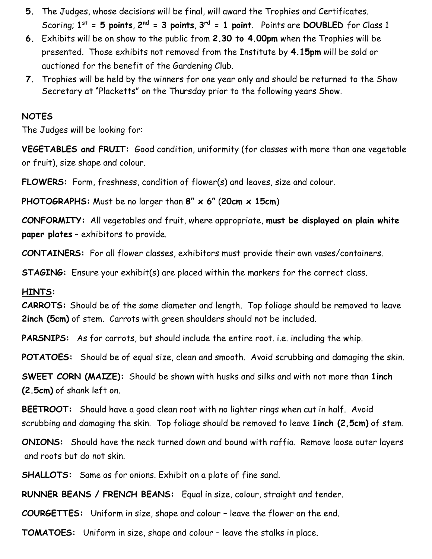- **5.4.** The Judges, whose decisions will be final, will award the Trophies and Certificates. Scoring;  $1^{st} = 5$  points,  $2^{nd} = 3$  points,  $3^{rd} = 1$  point. Points are DOUBLED for Class 1
- **6.** Exhibits will be on show to the public from **2.30 to 4.00pm** when the Trophies will be presented. Those exhibits not removed from the Institute by **4.15pm** will be sold or auctioned for the benefit of the Gardening Club.
- **7.** Trophies will be held by the winners for one year only and should be returned to the Show Secretary at "Placketts" on the Thursday prior to the following years Show.

#### **NOTES**

The Judges will be looking for:

**VEGETABLES and FRUIT:** Good condition, uniformity (for classes with more than one vegetable or fruit), size shape and colour.

**FLOWERS:** Form, freshness, condition of flower(s) and leaves, size and colour.

**PHOTOGRAPHS:** Must be no larger than **8" x 6"** (**20cm x 15cm**)

**CONFORMITY:** All vegetables and fruit, where appropriate, **must be displayed on plain white paper plates** – exhibitors to provide.

**CONTAINERS:** For all flower classes, exhibitors must provide their own vases/containers.

**STAGING:** Ensure your exhibit(s) are placed within the markers for the correct class.

#### **HINTS:**

**CARROTS:** Should be of the same diameter and length. Top foliage should be removed to leave **2inch (5cm)** of stem. Carrots with green shoulders should not be included.

**PARSNIPS:** As for carrots, but should include the entire root. i.e. including the whip.

**POTATOES:** Should be of equal size, clean and smooth. Avoid scrubbing and damaging the skin.

**SWEET CORN (MAIZE):** Should be shown with husks and silks and with not more than **1inch (2.5cm)** of shank left on.

**BEETROOT:** Should have a good clean root with no lighter rings when cut in half. Avoid scrubbing and damaging the skin. Top foliage should be removed to leave **1inch (2,5cm)** of stem.

**ONIONS:** Should have the neck turned down and bound with raffia. Remove loose outer layers and roots but do not skin.

**SHALLOTS:** Same as for onions. Exhibit on a plate of fine sand.

**RUNNER BEANS / FRENCH BEANS:** Equal in size, colour, straight and tender.

**COURGETTES:** Uniform in size, shape and colour – leave the flower on the end.

**TOMATOES:** Uniform in size, shape and colour – leave the stalks in place.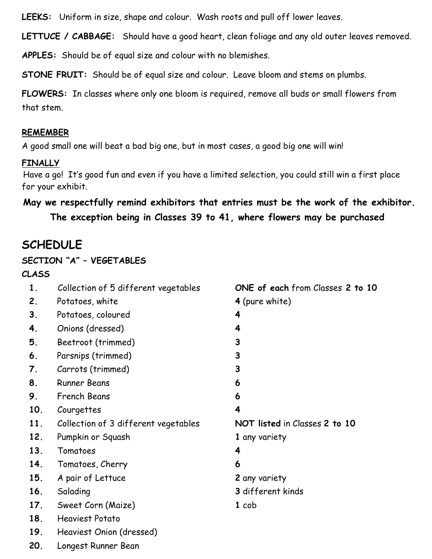**LEEKS:** Uniform in size, shape and colour. Wash roots and pull off lower leaves.

**LETTUCE / CABBAGE:** Should have a good heart, clean foliage and any old outer leaves removed.

**APPLES:** Should be of equal size and colour with no blemishes.

**STONE FRUIT:** Should be of equal size and colour. Leave bloom and stems on plumbs.

**FLOWERS:** In classes where only one bloom is required, remove all buds or small flowers from that stem.

#### **REMEMBER**

A good small one will beat a bad big one, but in most cases, a good big one will win!

#### **FINALLY**

Have a go! It's good fun and even if you have a limited selection, you could still win a first place for your exhibit.

#### **May we respectfully remind exhibitors that entries must be the work of the exhibitor. The exception being in Classes 39 to 41, where flowers may be purchased**

#### **SCHEDULE**

#### **SECTION "A" – VEGETABLES**

#### **CLASS**

| 1.  | Collection of 5 different vegetables | ONE of each from Classes 2 to 10 |
|-----|--------------------------------------|----------------------------------|
| 2.  | Potatoes, white                      | 4 (pure white)                   |
| 3.  | Potatoes, coloured                   | 4                                |
| 4.  | Onions (dressed)                     | 4                                |
| 5.  | Beetroot (trimmed)                   | 3                                |
| 6.  | Parsnips (trimmed)                   | 3                                |
| 7.  | Carrots (trimmed)                    | 3                                |
| 8.  | <b>Runner Beans</b>                  | 6                                |
| 9.  | French Beans                         | 6                                |
| 10. | Courgettes                           | 4                                |
| 11. | Collection of 3 different vegetables | NOT listed in Classes 2 to 10    |
| 12. | Pumpkin or Squash                    | 1 any variety                    |
| 13. | Tomatoes                             | 4                                |
| 14. | Tomatoes, Cherry                     | 6                                |
| 15. | A pair of Lettuce                    | 2 any variety                    |
| 16. | Salading                             | 3 different kinds                |
| 17. | Sweet Corn (Maize)                   | $1$ cob                          |
| 18. | <b>Heaviest Potato</b>               |                                  |
| 19. | Heaviest Onion (dressed)             |                                  |

**20.** Longest Runner Bean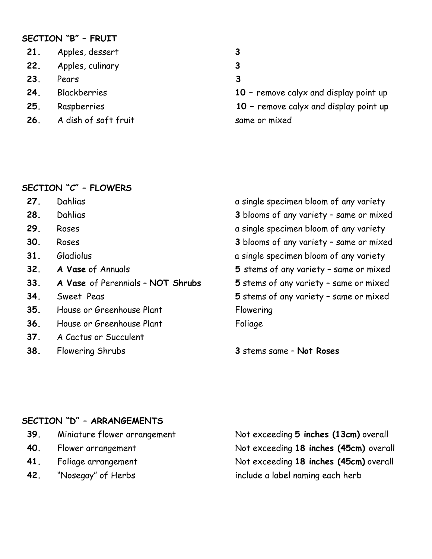#### **SECTION "B" – FRUIT**

|     | 21. Apples, dessert  | 3 |
|-----|----------------------|---|
|     | 22. Apples, culinary | 3 |
| 23. | Pears                | 3 |
| 24. | Blackberries         |   |
| 25. | Raspberries          |   |

- 26. A dish of soft fruit same or mixed
- 
- 
- 

10 - remove calyx and display point up **25.** Raspberries **10 –** remove calyx and display point up

#### **SECTION "C" – FLOWERS**

- 
- 
- 
- 
- 
- 
- **33. A Vase** of Perennials **NOT Shrubs 5** stems of any variety same or mixed
- 
- **35.** House or Greenhouse Plant Flowering
- **36.** House or Greenhouse Plant Foliage
- **37.** A Cactus or Succulent
- 

**27.** Dahlias **a** single specimen bloom of any variety **28.** Dahlias **3** blooms of any variety – same or mixed **29.** Roses **a** single specimen bloom of any variety **30.** Roses **3** blooms of any variety – same or mixed **31.** Gladiolus a single specimen bloom of any variety **32. A Vase** of Annuals **5** stems of any variety – same or mixed **34.** Sweet Peas **5** stems of any variety – same or mixed

**38.** Flowering Shrubs **3** stems same – **Not Roses**

#### **SECTION "D" – ARRANGEMENTS**

- 
- 
- 
- 

**39.** Miniature flower arrangement Not exceeding **5 inches (13cm)** overall **40.** Flower arrangement Not exceeding **18 inches (45cm)** overall **41.** Foliage arrangement Not exceeding **18 inches (45cm)** overall **42.** "Nosegay" of Herbs include a label naming each herb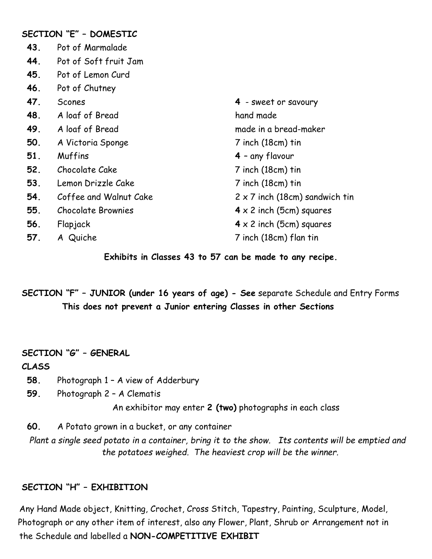|     | SECTION "E" - DOMESTIC    |                                       |
|-----|---------------------------|---------------------------------------|
| 43. | Pot of Marmalade          |                                       |
| 44. | Pot of Soft fruit Jam     |                                       |
| 45. | Pot of Lemon Curd         |                                       |
| 46. | Pot of Chutney            |                                       |
| 47. | Scones                    | 4 - sweet or savoury                  |
| 48. | A loaf of Bread           | hand made                             |
| 49. | A loaf of Bread           | made in a bread-maker                 |
| 50. | A Victoria Sponge         | 7 inch (18cm) tin                     |
| 51. | Muffins                   | 4 - any flavour                       |
| 52. | Chocolate Cake            | 7 inch (18cm) tin                     |
| 53. | Lemon Drizzle Cake        | 7 inch (18cm) tin                     |
| 54. | Coffee and Walnut Cake    | $2 \times 7$ inch (18cm) sandwich tin |
| 55. | <b>Chocolate Brownies</b> | $4 \times 2$ inch (5cm) squares       |
| 56. | Flapjack                  | $4 \times 2$ inch (5cm) squares       |
| 57. | A Quiche                  | 7 inch (18cm) flan tin                |
|     |                           |                                       |

**Exhibits in Classes 43 to 57 can be made to any recipe.**

**SECTION "F" – JUNIOR (under 16 years of age) - See** separate Schedule and Entry Forms **This does not prevent a Junior entering Classes in other Sections**

#### **SECTION "G" – GENERAL**

#### **CLASS**

- **58.** Photograph 1 A view of Adderbury
- **59.** Photograph 2 A Clematis

An exhibitor may enter **2 (two)** photographs in each class

**60.** A Potato grown in a bucket, or any container

*Plant a single seed potato in a container, bring it to the show. Its contents will be emptied and the potatoes weighed. The heaviest crop will be the winner.*

#### **SECTION "H" – EXHIBITION**

Any Hand Made object, Knitting, Crochet, Cross Stitch, Tapestry, Painting, Sculpture, Model, Photograph or any other item of interest, also any Flower, Plant, Shrub or Arrangement not in the Schedule and labelled a **NON-COMPETITIVE EXHIBIT**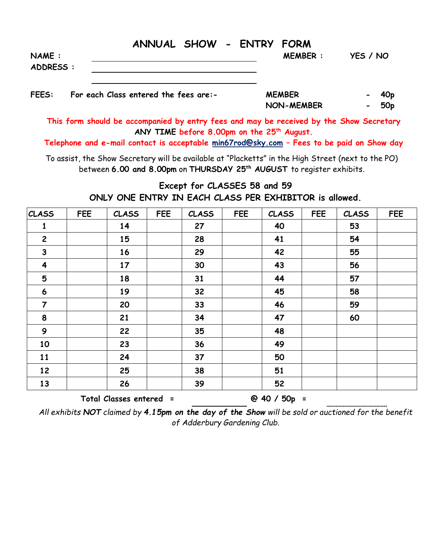| <b>NAME:</b> | ANNUAL SHOW - ENTRY FORM              |  | <b>MEMBER:</b> | YES / NO |                 |
|--------------|---------------------------------------|--|----------------|----------|-----------------|
| ADDRESS :    |                                       |  |                |          |                 |
| <b>FEES:</b> | For each Class entered the fees are:- |  | <b>MEMBER</b>  |          | 40 <sub>p</sub> |

**NON-MEMBER - 50p**

**This form should be accompanied by entry fees and may be received by the Show Secretary ANY TIME before 8.00pm on the 25 th August.**

**Telephone and e-mail contact is acceptable min67rod@sky.com – Fees to be paid on Show day**

To assist, the Show Secretary will be available at "Placketts" in the High Street (next to the PO) between **6.00 and 8.00pm** on **THURSDAY 25 th AUGUST** to register exhibits.

#### **Except for CLASSES 58 and 59 ONLY ONE ENTRY IN EACH CLASS PER EXHIBITOR is allowed.**

| <b>CLASS</b>            | <b>FEE</b> | <b>CLASS</b>            | <b>FEE</b> | <b>CLASS</b> | <b>FEE</b> | <b>CLASS</b> | <b>FEE</b> | <b>CLASS</b> | <b>FEE</b> |
|-------------------------|------------|-------------------------|------------|--------------|------------|--------------|------------|--------------|------------|
| $\mathbf{1}$            |            | 14                      |            | 27           |            | 40           |            | 53           |            |
| $\overline{2}$          |            | 15                      |            | 28           |            | 41           |            | 54           |            |
| $\mathbf{3}$            |            | 16                      |            | 29           |            | 42           |            | 55           |            |
| $\overline{\mathbf{4}}$ |            | 17                      |            | 30           |            | 43           |            | 56           |            |
| 5                       |            | 18                      |            | 31           |            | 44           |            | 57           |            |
| $\boldsymbol{6}$        |            | 19                      |            | 32           |            | 45           |            | 58           |            |
| $\overline{7}$          |            | 20                      |            | 33           |            | 46           |            | 59           |            |
| 8                       |            | 21                      |            | 34           |            | 47           |            | 60           |            |
| 9                       |            | 22                      |            | 35           |            | 48           |            |              |            |
| 10                      |            | 23                      |            | 36           |            | 49           |            |              |            |
| 11                      |            | 24                      |            | 37           |            | 50           |            |              |            |
| 12                      |            | 25                      |            | 38           |            | 51           |            |              |            |
| 13                      |            | 26                      |            | 39           |            | 52           |            |              |            |
|                         |            | Total Classes entered = |            |              |            | @ 40 / 50p = |            |              |            |

*All exhibits NOT claimed by 4.15pm on the day of the Show will be sold or auctioned for the benefit of Adderbury Gardening Club.*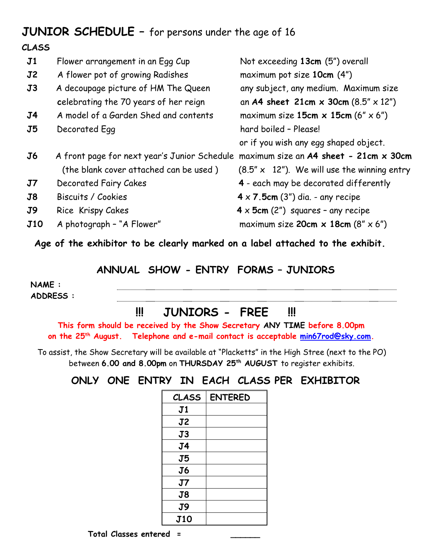### **JUNIOR SCHEDULE –** for persons under the age of 16

#### **CLASS**

| J1                      | Flower arrangement in an Egg Cup                                                       | Not exceeding 13cm (5") overall                                                                        |
|-------------------------|----------------------------------------------------------------------------------------|--------------------------------------------------------------------------------------------------------|
| $\mathbf{J2}$           | A flower pot of growing Radishes                                                       | maximum pot size 10cm (4")                                                                             |
| $\overline{\mathbf{J}}$ | A decoupage picture of HM The Queen                                                    | any subject, any medium. Maximum size                                                                  |
|                         | celebrating the 70 years of her reign                                                  | an A4 sheet $21cm \times 30cm (8.5'' \times 12'')$                                                     |
| J4                      | A model of a Garden Shed and contents                                                  | maximum size 15cm $\times$ 15cm (6" $\times$ 6")                                                       |
| $\overline{\mathbf{J}}$ | Decorated Egg                                                                          | hard boiled - Please!                                                                                  |
|                         |                                                                                        | or if you wish any egg shaped object.                                                                  |
| J6                      | A front page for next year's Junior Schedule<br>(the blank cover attached can be used) | maximum size an $A4$ sheet - 21cm $\times$ 30cm<br>$(8.5" \times 12")$ . We will use the winning entry |
| $\mathbf{J7}$           | Decorated Fairy Cakes                                                                  | 4 - each may be decorated differently                                                                  |
| J8                      | Biscuits / Cookies                                                                     | $4 \times 7.5$ cm (3") dia. - any recipe                                                               |
| J9                      | Rice Krispy Cakes                                                                      | $4 \times 5$ cm (2") squares - any recipe                                                              |
| <b>J10</b>              | A photograph - "A Flower"                                                              | maximum size 20cm $\times$ 18cm (8" $\times$ 6")                                                       |
|                         |                                                                                        |                                                                                                        |

**Age of the exhibitor to be clearly marked on a label attached to the exhibit.**

#### **ANNUAL SHOW - ENTRY FORMS – JUNIORS**

**NAME : ADDRESS :**

#### **!!! JUNIORS - FREE !!!**

**This form should be received by the Show Secretary ANY TIME before 8.00pm on the 25 th August. Telephone and e-mail contact is acceptable [min67rod@sky.com.](mailto:min67rod@sky.com)**

To assist, the Show Secretary will be available at "Placketts" in the High Stree (next to the PO) between **6.00 and 8.00pm** on **THURSDAY 25 th AUGUST** to register exhibits.

**ONLY ONE ENTRY IN EACH CLASS PER EXHIBITOR**

| <b>CLASS</b>   | <b>ENTERED</b> |
|----------------|----------------|
| J1             |                |
| J2             |                |
| J3             |                |
| J <sub>4</sub> |                |
| J5             |                |
| J6             |                |
| J7             |                |
| J8             |                |
| J9             |                |
| <b>J10</b>     |                |

 **Total Classes entered = \_\_\_\_\_\_**